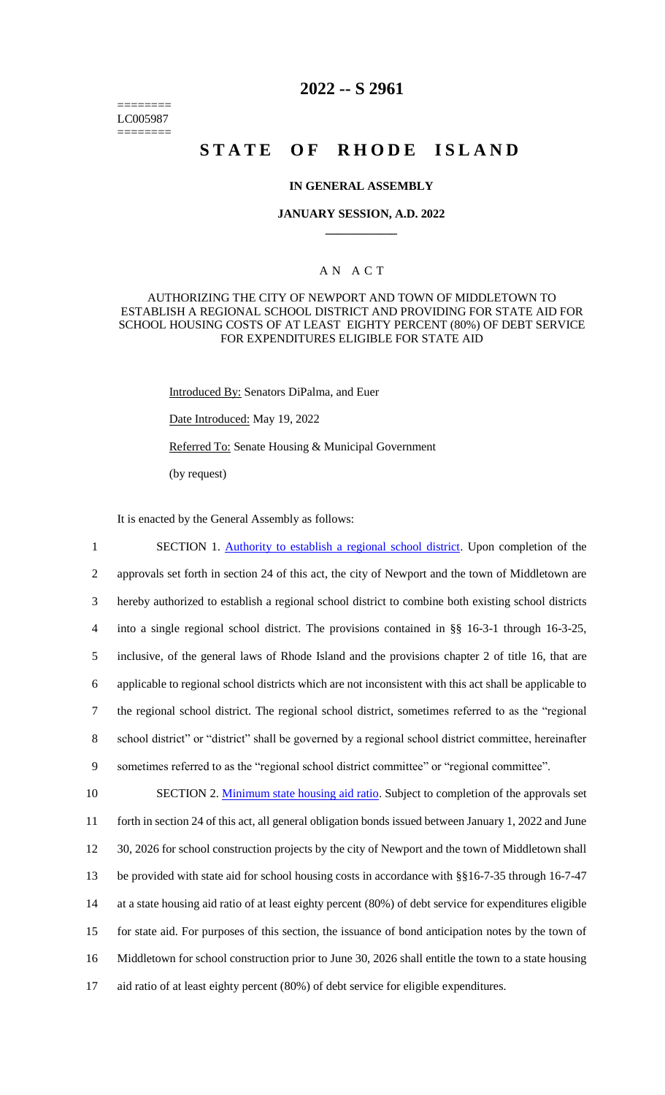======== LC005987 ========

## **2022 -- S 2961**

# **STATE OF RHODE ISLAND**

### **IN GENERAL ASSEMBLY**

#### **JANUARY SESSION, A.D. 2022 \_\_\_\_\_\_\_\_\_\_\_\_**

## A N A C T

## AUTHORIZING THE CITY OF NEWPORT AND TOWN OF MIDDLETOWN TO ESTABLISH A REGIONAL SCHOOL DISTRICT AND PROVIDING FOR STATE AID FOR SCHOOL HOUSING COSTS OF AT LEAST EIGHTY PERCENT (80%) OF DEBT SERVICE FOR EXPENDITURES ELIGIBLE FOR STATE AID

Introduced By: Senators DiPalma, and Euer

Date Introduced: May 19, 2022

Referred To: Senate Housing & Municipal Government

(by request)

It is enacted by the General Assembly as follows:

1 SECTION 1. Authority to establish a regional school district. Upon completion of the approvals set forth in section 24 of this act, the city of Newport and the town of Middletown are hereby authorized to establish a regional school district to combine both existing school districts into a single regional school district. The provisions contained in §§ 16-3-1 through 16-3-25, inclusive, of the general laws of Rhode Island and the provisions chapter 2 of title 16, that are applicable to regional school districts which are not inconsistent with this act shall be applicable to the regional school district. The regional school district, sometimes referred to as the "regional school district" or "district" shall be governed by a regional school district committee, hereinafter sometimes referred to as the "regional school district committee" or "regional committee". 10 SECTION 2. Minimum state housing aid ratio. Subject to completion of the approvals set

 forth in section 24 of this act, all general obligation bonds issued between January 1, 2022 and June 30, 2026 for school construction projects by the city of Newport and the town of Middletown shall 13 be provided with state aid for school housing costs in accordance with §§16-7-35 through 16-7-47 at a state housing aid ratio of at least eighty percent (80%) of debt service for expenditures eligible for state aid. For purposes of this section, the issuance of bond anticipation notes by the town of Middletown for school construction prior to June 30, 2026 shall entitle the town to a state housing aid ratio of at least eighty percent (80%) of debt service for eligible expenditures.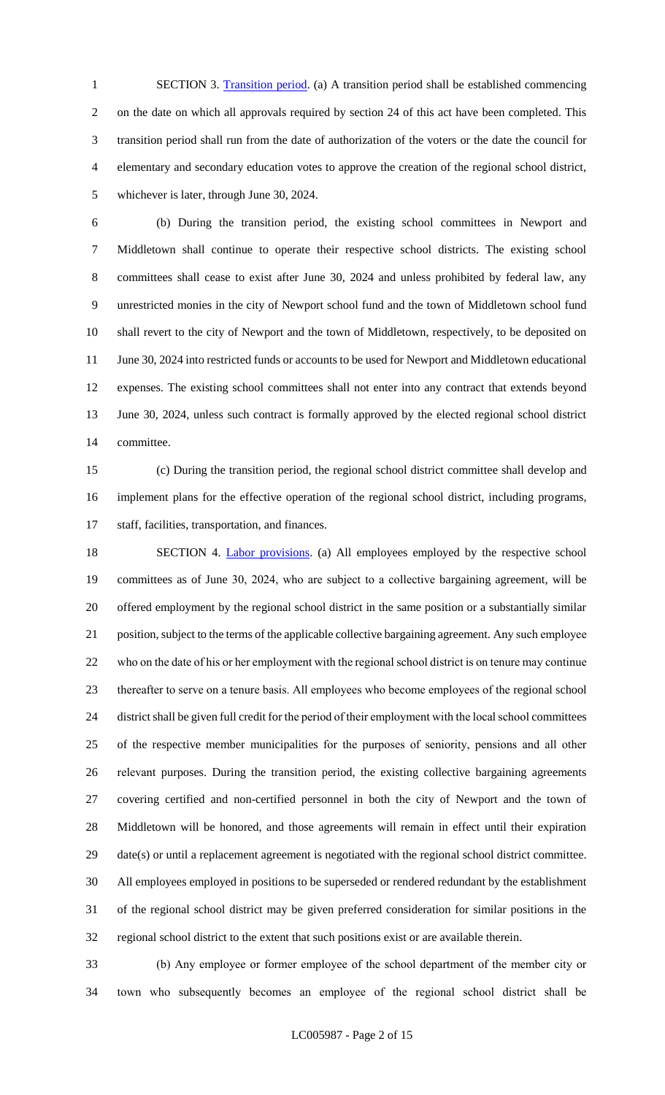1 SECTION 3. Transition period. (a) A transition period shall be established commencing on the date on which all approvals required by section 24 of this act have been completed. This transition period shall run from the date of authorization of the voters or the date the council for elementary and secondary education votes to approve the creation of the regional school district, whichever is later, through June 30, 2024.

 (b) During the transition period, the existing school committees in Newport and Middletown shall continue to operate their respective school districts. The existing school committees shall cease to exist after June 30, 2024 and unless prohibited by federal law, any unrestricted monies in the city of Newport school fund and the town of Middletown school fund shall revert to the city of Newport and the town of Middletown, respectively, to be deposited on 11 June 30, 2024 into restricted funds or accounts to be used for Newport and Middletown educational expenses. The existing school committees shall not enter into any contract that extends beyond June 30, 2024, unless such contract is formally approved by the elected regional school district committee.

 (c) During the transition period, the regional school district committee shall develop and implement plans for the effective operation of the regional school district, including programs, staff, facilities, transportation, and finances.

18 SECTION 4. Labor provisions. (a) All employees employed by the respective school committees as of June 30, 2024, who are subject to a collective bargaining agreement, will be offered employment by the regional school district in the same position or a substantially similar position, subject to the terms of the applicable collective bargaining agreement. Any such employee who on the date of his or her employment with the regional school district is on tenure may continue thereafter to serve on a tenure basis. All employees who become employees of the regional school district shall be given full credit for the period of their employment with the local school committees of the respective member municipalities for the purposes of seniority, pensions and all other relevant purposes. During the transition period, the existing collective bargaining agreements covering certified and non-certified personnel in both the city of Newport and the town of Middletown will be honored, and those agreements will remain in effect until their expiration date(s) or until a replacement agreement is negotiated with the regional school district committee. All employees employed in positions to be superseded or rendered redundant by the establishment of the regional school district may be given preferred consideration for similar positions in the regional school district to the extent that such positions exist or are available therein.

 (b) Any employee or former employee of the school department of the member city or town who subsequently becomes an employee of the regional school district shall be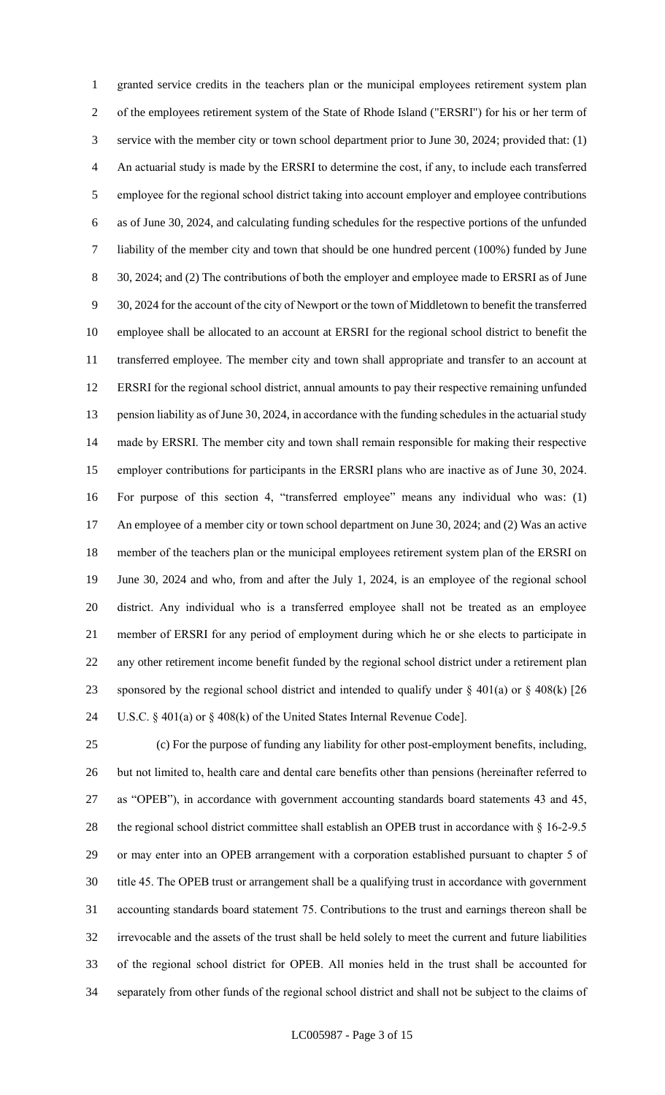granted service credits in the teachers plan or the municipal employees retirement system plan of the employees retirement system of the State of Rhode Island ("ERSRI") for his or her term of service with the member city or town school department prior to June 30, 2024; provided that: (1) An actuarial study is made by the ERSRI to determine the cost, if any, to include each transferred employee for the regional school district taking into account employer and employee contributions as of June 30, 2024, and calculating funding schedules for the respective portions of the unfunded liability of the member city and town that should be one hundred percent (100%) funded by June 30, 2024; and (2) The contributions of both the employer and employee made to ERSRI as of June 30, 2024 for the account of the city of Newport or the town of Middletown to benefit the transferred employee shall be allocated to an account at ERSRI for the regional school district to benefit the transferred employee. The member city and town shall appropriate and transfer to an account at ERSRI for the regional school district, annual amounts to pay their respective remaining unfunded 13 pension liability as of June 30, 2024, in accordance with the funding schedules in the actuarial study made by ERSRI. The member city and town shall remain responsible for making their respective employer contributions for participants in the ERSRI plans who are inactive as of June 30, 2024. For purpose of this section 4, "transferred employee" means any individual who was: (1) 17 An employee of a member city or town school department on June 30, 2024; and (2) Was an active member of the teachers plan or the municipal employees retirement system plan of the ERSRI on June 30, 2024 and who, from and after the July 1, 2024, is an employee of the regional school district. Any individual who is a transferred employee shall not be treated as an employee member of ERSRI for any period of employment during which he or she elects to participate in any other retirement income benefit funded by the regional school district under a retirement plan 23 sponsored by the regional school district and intended to qualify under  $\S$  401(a) or  $\S$  408(k) [26 U.S.C. § 401(a) or § 408(k) of the United States Internal Revenue Code].

 (c) For the purpose of funding any liability for other post-employment benefits, including, but not limited to, health care and dental care benefits other than pensions (hereinafter referred to as "OPEB"), in accordance with government accounting standards board statements 43 and 45, 28 the regional school district committee shall establish an OPEB trust in accordance with § 16-2-9.5 or may enter into an OPEB arrangement with a corporation established pursuant to chapter 5 of title 45. The OPEB trust or arrangement shall be a qualifying trust in accordance with government accounting standards board statement 75. Contributions to the trust and earnings thereon shall be irrevocable and the assets of the trust shall be held solely to meet the current and future liabilities of the regional school district for OPEB. All monies held in the trust shall be accounted for separately from other funds of the regional school district and shall not be subject to the claims of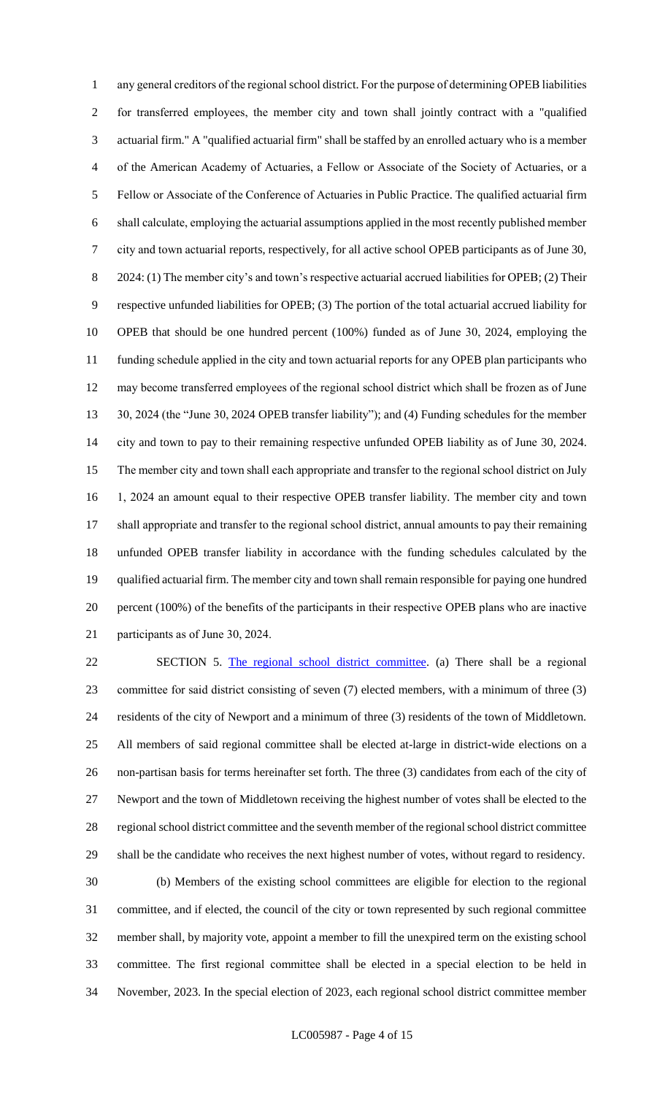any general creditors of the regional school district. For the purpose of determining OPEB liabilities for transferred employees, the member city and town shall jointly contract with a "qualified actuarial firm." A "qualified actuarial firm" shall be staffed by an enrolled actuary who is a member of the American Academy of Actuaries, a Fellow or Associate of the Society of Actuaries, or a Fellow or Associate of the Conference of Actuaries in Public Practice. The qualified actuarial firm shall calculate, employing the actuarial assumptions applied in the most recently published member city and town actuarial reports, respectively, for all active school OPEB participants as of June 30, 8 2024: (1) The member city's and town's respective actuarial accrued liabilities for OPEB; (2) Their respective unfunded liabilities for OPEB; (3) The portion of the total actuarial accrued liability for OPEB that should be one hundred percent (100%) funded as of June 30, 2024, employing the funding schedule applied in the city and town actuarial reports for any OPEB plan participants who may become transferred employees of the regional school district which shall be frozen as of June 30, 2024 (the "June 30, 2024 OPEB transfer liability"); and (4) Funding schedules for the member city and town to pay to their remaining respective unfunded OPEB liability as of June 30, 2024. The member city and town shall each appropriate and transfer to the regional school district on July 1, 2024 an amount equal to their respective OPEB transfer liability. The member city and town shall appropriate and transfer to the regional school district, annual amounts to pay their remaining unfunded OPEB transfer liability in accordance with the funding schedules calculated by the qualified actuarial firm. The member city and town shall remain responsible for paying one hundred percent (100%) of the benefits of the participants in their respective OPEB plans who are inactive participants as of June 30, 2024.

 SECTION 5. The regional school district committee. (a) There shall be a regional committee for said district consisting of seven (7) elected members, with a minimum of three (3) residents of the city of Newport and a minimum of three (3) residents of the town of Middletown. All members of said regional committee shall be elected at-large in district-wide elections on a non-partisan basis for terms hereinafter set forth. The three (3) candidates from each of the city of Newport and the town of Middletown receiving the highest number of votes shall be elected to the regional school district committee and the seventh member of the regional school district committee shall be the candidate who receives the next highest number of votes, without regard to residency.

 (b) Members of the existing school committees are eligible for election to the regional committee, and if elected, the council of the city or town represented by such regional committee member shall, by majority vote, appoint a member to fill the unexpired term on the existing school committee. The first regional committee shall be elected in a special election to be held in November, 2023. In the special election of 2023, each regional school district committee member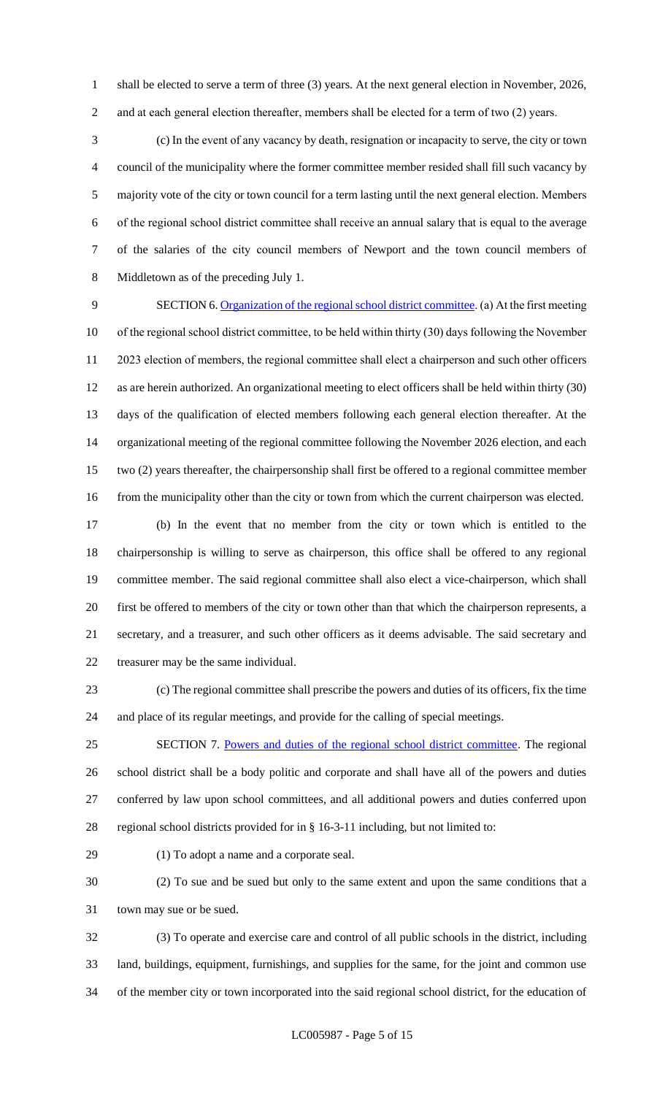shall be elected to serve a term of three (3) years. At the next general election in November, 2026, 2 and at each general election thereafter, members shall be elected for a term of two (2) years.

 (c) In the event of any vacancy by death, resignation or incapacity to serve, the city or town council of the municipality where the former committee member resided shall fill such vacancy by majority vote of the city or town council for a term lasting until the next general election. Members of the regional school district committee shall receive an annual salary that is equal to the average of the salaries of the city council members of Newport and the town council members of Middletown as of the preceding July 1.

 SECTION 6. Organization of the regional school district committee. (a) At the first meeting of the regional school district committee, to be held within thirty (30) days following the November 2023 election of members, the regional committee shall elect a chairperson and such other officers as are herein authorized. An organizational meeting to elect officers shall be held within thirty (30) days of the qualification of elected members following each general election thereafter. At the organizational meeting of the regional committee following the November 2026 election, and each two (2) years thereafter, the chairpersonship shall first be offered to a regional committee member 16 from the municipality other than the city or town from which the current chairperson was elected.

 (b) In the event that no member from the city or town which is entitled to the chairpersonship is willing to serve as chairperson, this office shall be offered to any regional committee member. The said regional committee shall also elect a vice-chairperson, which shall first be offered to members of the city or town other than that which the chairperson represents, a secretary, and a treasurer, and such other officers as it deems advisable. The said secretary and treasurer may be the same individual.

 (c) The regional committee shall prescribe the powers and duties of its officers, fix the time and place of its regular meetings, and provide for the calling of special meetings.

 SECTION 7. Powers and duties of the regional school district committee. The regional school district shall be a body politic and corporate and shall have all of the powers and duties conferred by law upon school committees, and all additional powers and duties conferred upon regional school districts provided for in § 16-3-11 including, but not limited to:

(1) To adopt a name and a corporate seal.

 (2) To sue and be sued but only to the same extent and upon the same conditions that a town may sue or be sued.

 (3) To operate and exercise care and control of all public schools in the district, including land, buildings, equipment, furnishings, and supplies for the same, for the joint and common use of the member city or town incorporated into the said regional school district, for the education of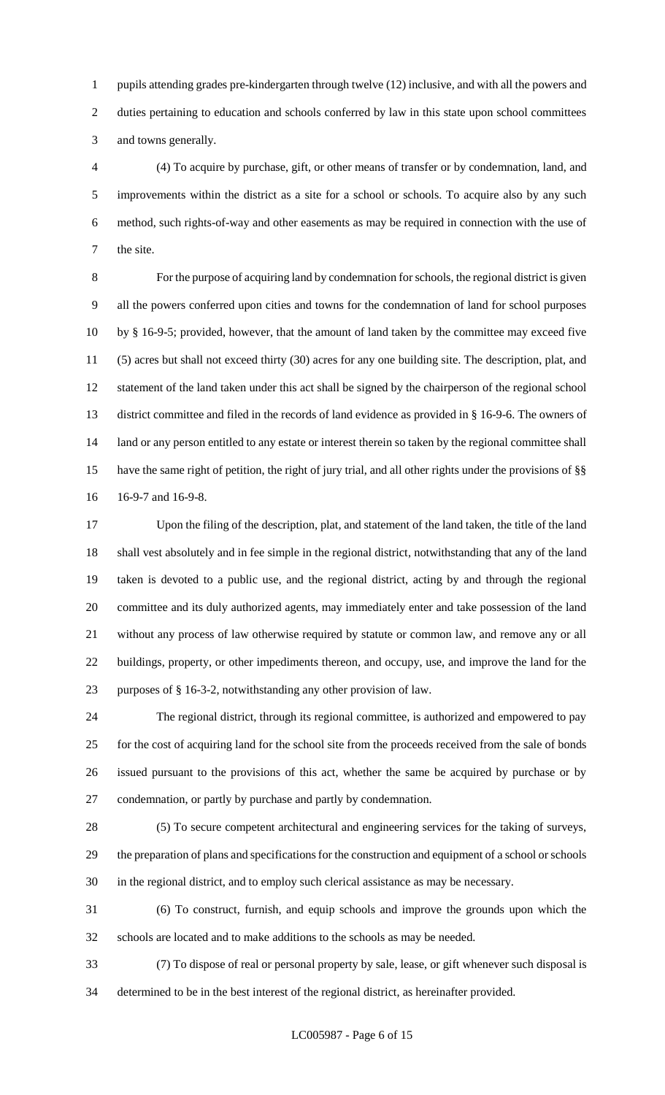pupils attending grades pre-kindergarten through twelve (12) inclusive, and with all the powers and 2 duties pertaining to education and schools conferred by law in this state upon school committees and towns generally.

 (4) To acquire by purchase, gift, or other means of transfer or by condemnation, land, and improvements within the district as a site for a school or schools. To acquire also by any such method, such rights-of-way and other easements as may be required in connection with the use of the site.

 For the purpose of acquiring land by condemnation for schools, the regional district is given all the powers conferred upon cities and towns for the condemnation of land for school purposes by § 16-9-5; provided, however, that the amount of land taken by the committee may exceed five (5) acres but shall not exceed thirty (30) acres for any one building site. The description, plat, and statement of the land taken under this act shall be signed by the chairperson of the regional school district committee and filed in the records of land evidence as provided in § 16-9-6. The owners of 14 land or any person entitled to any estate or interest therein so taken by the regional committee shall have the same right of petition, the right of jury trial, and all other rights under the provisions of §§ 16-9-7 and 16-9-8.

 Upon the filing of the description, plat, and statement of the land taken, the title of the land shall vest absolutely and in fee simple in the regional district, notwithstanding that any of the land taken is devoted to a public use, and the regional district, acting by and through the regional committee and its duly authorized agents, may immediately enter and take possession of the land without any process of law otherwise required by statute or common law, and remove any or all buildings, property, or other impediments thereon, and occupy, use, and improve the land for the purposes of § 16-3-2, notwithstanding any other provision of law.

 The regional district, through its regional committee, is authorized and empowered to pay for the cost of acquiring land for the school site from the proceeds received from the sale of bonds issued pursuant to the provisions of this act, whether the same be acquired by purchase or by condemnation, or partly by purchase and partly by condemnation.

 (5) To secure competent architectural and engineering services for the taking of surveys, the preparation of plans and specifications for the construction and equipment of a school or schools in the regional district, and to employ such clerical assistance as may be necessary.

 (6) To construct, furnish, and equip schools and improve the grounds upon which the schools are located and to make additions to the schools as may be needed.

 (7) To dispose of real or personal property by sale, lease, or gift whenever such disposal is determined to be in the best interest of the regional district, as hereinafter provided.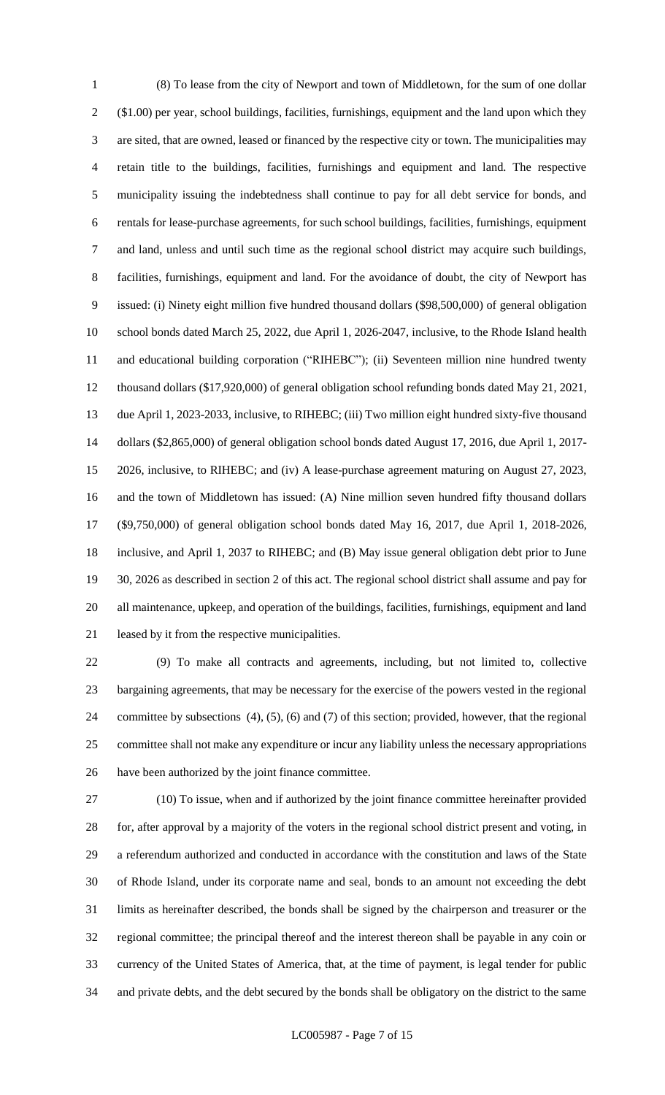(8) To lease from the city of Newport and town of Middletown, for the sum of one dollar (\$1.00) per year, school buildings, facilities, furnishings, equipment and the land upon which they are sited, that are owned, leased or financed by the respective city or town. The municipalities may retain title to the buildings, facilities, furnishings and equipment and land. The respective municipality issuing the indebtedness shall continue to pay for all debt service for bonds, and rentals for lease-purchase agreements, for such school buildings, facilities, furnishings, equipment and land, unless and until such time as the regional school district may acquire such buildings, facilities, furnishings, equipment and land. For the avoidance of doubt, the city of Newport has issued: (i) Ninety eight million five hundred thousand dollars (\$98,500,000) of general obligation school bonds dated March 25, 2022, due April 1, 2026-2047, inclusive, to the Rhode Island health and educational building corporation ("RIHEBC"); (ii) Seventeen million nine hundred twenty thousand dollars (\$17,920,000) of general obligation school refunding bonds dated May 21, 2021, due April 1, 2023-2033, inclusive, to RIHEBC; (iii) Two million eight hundred sixty-five thousand dollars (\$2,865,000) of general obligation school bonds dated August 17, 2016, due April 1, 2017- 2026, inclusive, to RIHEBC; and (iv) A lease-purchase agreement maturing on August 27, 2023, and the town of Middletown has issued: (A) Nine million seven hundred fifty thousand dollars (\$9,750,000) of general obligation school bonds dated May 16, 2017, due April 1, 2018-2026, inclusive, and April 1, 2037 to RIHEBC; and (B) May issue general obligation debt prior to June 30, 2026 as described in section 2 of this act. The regional school district shall assume and pay for all maintenance, upkeep, and operation of the buildings, facilities, furnishings, equipment and land leased by it from the respective municipalities.

 (9) To make all contracts and agreements, including, but not limited to, collective bargaining agreements, that may be necessary for the exercise of the powers vested in the regional committee by subsections (4), (5), (6) and (7) of this section; provided, however, that the regional committee shall not make any expenditure or incur any liability unless the necessary appropriations have been authorized by the joint finance committee.

 (10) To issue, when and if authorized by the joint finance committee hereinafter provided for, after approval by a majority of the voters in the regional school district present and voting, in a referendum authorized and conducted in accordance with the constitution and laws of the State of Rhode Island, under its corporate name and seal, bonds to an amount not exceeding the debt limits as hereinafter described, the bonds shall be signed by the chairperson and treasurer or the regional committee; the principal thereof and the interest thereon shall be payable in any coin or currency of the United States of America, that, at the time of payment, is legal tender for public and private debts, and the debt secured by the bonds shall be obligatory on the district to the same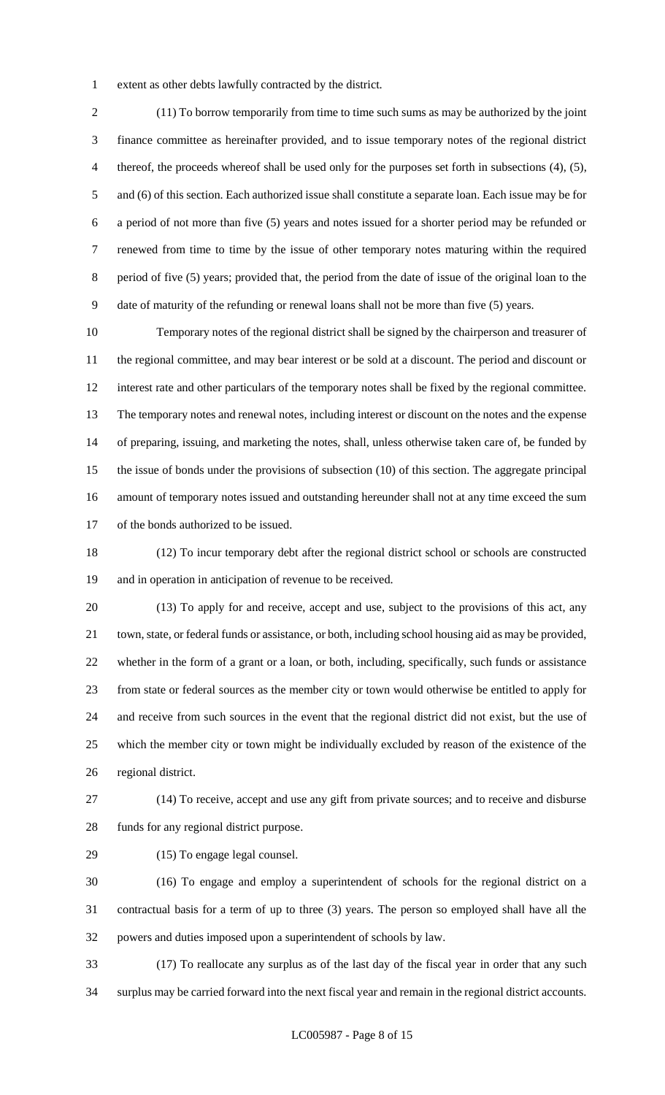extent as other debts lawfully contracted by the district.

 (11) To borrow temporarily from time to time such sums as may be authorized by the joint finance committee as hereinafter provided, and to issue temporary notes of the regional district thereof, the proceeds whereof shall be used only for the purposes set forth in subsections (4), (5), and (6) of this section. Each authorized issue shall constitute a separate loan. Each issue may be for a period of not more than five (5) years and notes issued for a shorter period may be refunded or renewed from time to time by the issue of other temporary notes maturing within the required period of five (5) years; provided that, the period from the date of issue of the original loan to the date of maturity of the refunding or renewal loans shall not be more than five (5) years.

 Temporary notes of the regional district shall be signed by the chairperson and treasurer of the regional committee, and may bear interest or be sold at a discount. The period and discount or interest rate and other particulars of the temporary notes shall be fixed by the regional committee. The temporary notes and renewal notes, including interest or discount on the notes and the expense of preparing, issuing, and marketing the notes, shall, unless otherwise taken care of, be funded by the issue of bonds under the provisions of subsection (10) of this section. The aggregate principal amount of temporary notes issued and outstanding hereunder shall not at any time exceed the sum of the bonds authorized to be issued.

 (12) To incur temporary debt after the regional district school or schools are constructed and in operation in anticipation of revenue to be received.

 (13) To apply for and receive, accept and use, subject to the provisions of this act, any town, state, or federal funds or assistance, or both, including school housing aid as may be provided, whether in the form of a grant or a loan, or both, including, specifically, such funds or assistance from state or federal sources as the member city or town would otherwise be entitled to apply for and receive from such sources in the event that the regional district did not exist, but the use of which the member city or town might be individually excluded by reason of the existence of the regional district.

 (14) To receive, accept and use any gift from private sources; and to receive and disburse funds for any regional district purpose.

(15) To engage legal counsel.

 (16) To engage and employ a superintendent of schools for the regional district on a contractual basis for a term of up to three (3) years. The person so employed shall have all the powers and duties imposed upon a superintendent of schools by law.

 (17) To reallocate any surplus as of the last day of the fiscal year in order that any such surplus may be carried forward into the next fiscal year and remain in the regional district accounts.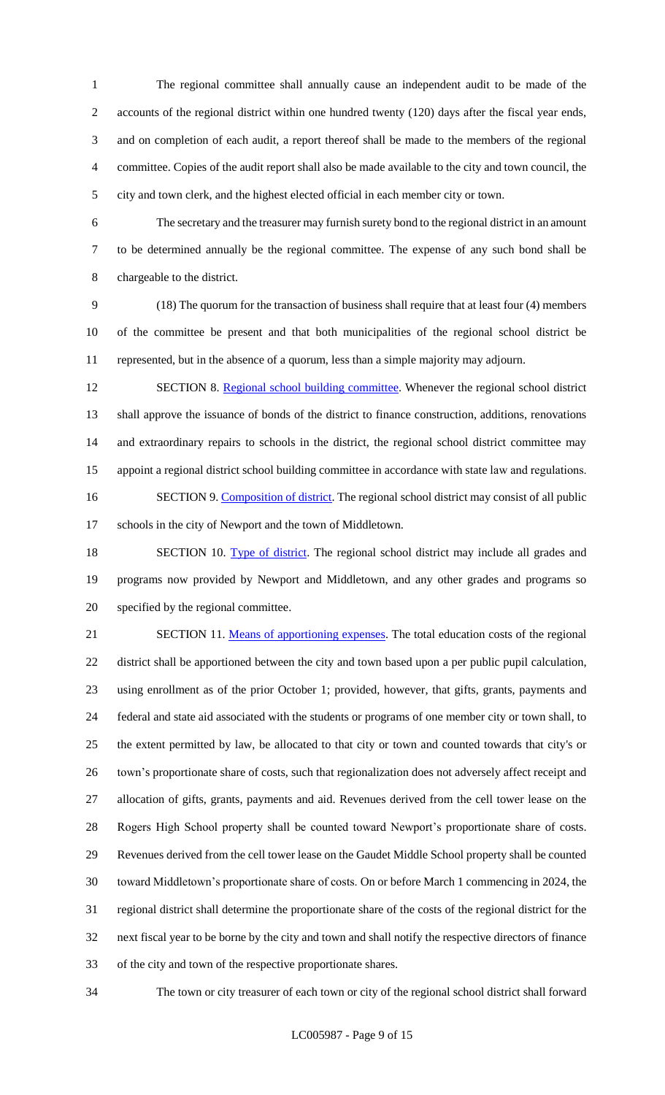The regional committee shall annually cause an independent audit to be made of the accounts of the regional district within one hundred twenty (120) days after the fiscal year ends, and on completion of each audit, a report thereof shall be made to the members of the regional committee. Copies of the audit report shall also be made available to the city and town council, the city and town clerk, and the highest elected official in each member city or town.

 The secretary and the treasurer may furnish surety bond to the regional district in an amount to be determined annually be the regional committee. The expense of any such bond shall be chargeable to the district.

 (18) The quorum for the transaction of business shall require that at least four (4) members of the committee be present and that both municipalities of the regional school district be represented, but in the absence of a quorum, less than a simple majority may adjourn.

12 SECTION 8. Regional school building committee. Whenever the regional school district shall approve the issuance of bonds of the district to finance construction, additions, renovations and extraordinary repairs to schools in the district, the regional school district committee may appoint a regional district school building committee in accordance with state law and regulations. 16 SECTION 9. Composition of district. The regional school district may consist of all public schools in the city of Newport and the town of Middletown.

18 SECTION 10. Type of district. The regional school district may include all grades and programs now provided by Newport and Middletown, and any other grades and programs so specified by the regional committee.

21 SECTION 11. Means of apportioning expenses. The total education costs of the regional district shall be apportioned between the city and town based upon a per public pupil calculation, using enrollment as of the prior October 1; provided, however, that gifts, grants, payments and federal and state aid associated with the students or programs of one member city or town shall, to the extent permitted by law, be allocated to that city or town and counted towards that city's or town's proportionate share of costs, such that regionalization does not adversely affect receipt and allocation of gifts, grants, payments and aid. Revenues derived from the cell tower lease on the Rogers High School property shall be counted toward Newport's proportionate share of costs. Revenues derived from the cell tower lease on the Gaudet Middle School property shall be counted toward Middletown's proportionate share of costs. On or before March 1 commencing in 2024, the regional district shall determine the proportionate share of the costs of the regional district for the next fiscal year to be borne by the city and town and shall notify the respective directors of finance of the city and town of the respective proportionate shares.

The town or city treasurer of each town or city of the regional school district shall forward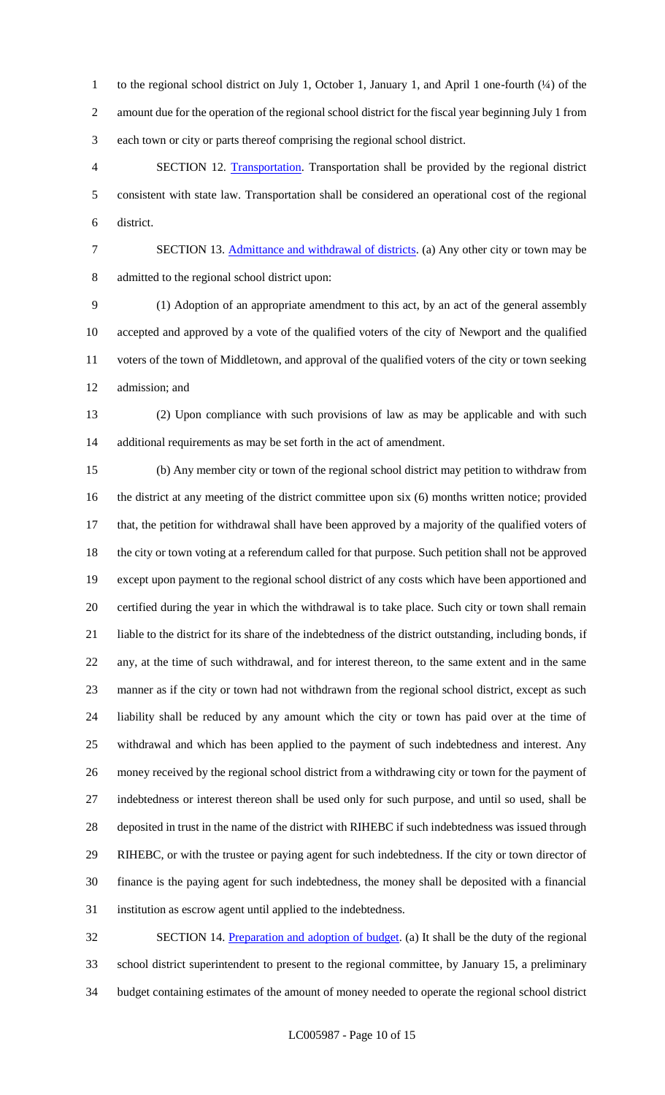1 to the regional school district on July 1, October 1, January 1, and April 1 one-fourth (¼) of the amount due for the operation of the regional school district for the fiscal year beginning July 1 from each town or city or parts thereof comprising the regional school district.

 SECTION 12. Transportation. Transportation shall be provided by the regional district consistent with state law. Transportation shall be considered an operational cost of the regional district.

7 SECTION 13. Admittance and withdrawal of districts. (a) Any other city or town may be admitted to the regional school district upon:

 (1) Adoption of an appropriate amendment to this act, by an act of the general assembly accepted and approved by a vote of the qualified voters of the city of Newport and the qualified voters of the town of Middletown, and approval of the qualified voters of the city or town seeking admission; and

 (2) Upon compliance with such provisions of law as may be applicable and with such additional requirements as may be set forth in the act of amendment.

 (b) Any member city or town of the regional school district may petition to withdraw from the district at any meeting of the district committee upon six (6) months written notice; provided that, the petition for withdrawal shall have been approved by a majority of the qualified voters of the city or town voting at a referendum called for that purpose. Such petition shall not be approved except upon payment to the regional school district of any costs which have been apportioned and certified during the year in which the withdrawal is to take place. Such city or town shall remain liable to the district for its share of the indebtedness of the district outstanding, including bonds, if any, at the time of such withdrawal, and for interest thereon, to the same extent and in the same manner as if the city or town had not withdrawn from the regional school district, except as such liability shall be reduced by any amount which the city or town has paid over at the time of withdrawal and which has been applied to the payment of such indebtedness and interest. Any money received by the regional school district from a withdrawing city or town for the payment of indebtedness or interest thereon shall be used only for such purpose, and until so used, shall be deposited in trust in the name of the district with RIHEBC if such indebtedness was issued through RIHEBC, or with the trustee or paying agent for such indebtedness. If the city or town director of finance is the paying agent for such indebtedness, the money shall be deposited with a financial institution as escrow agent until applied to the indebtedness.

32 SECTION 14. Preparation and adoption of budget. (a) It shall be the duty of the regional school district superintendent to present to the regional committee, by January 15, a preliminary budget containing estimates of the amount of money needed to operate the regional school district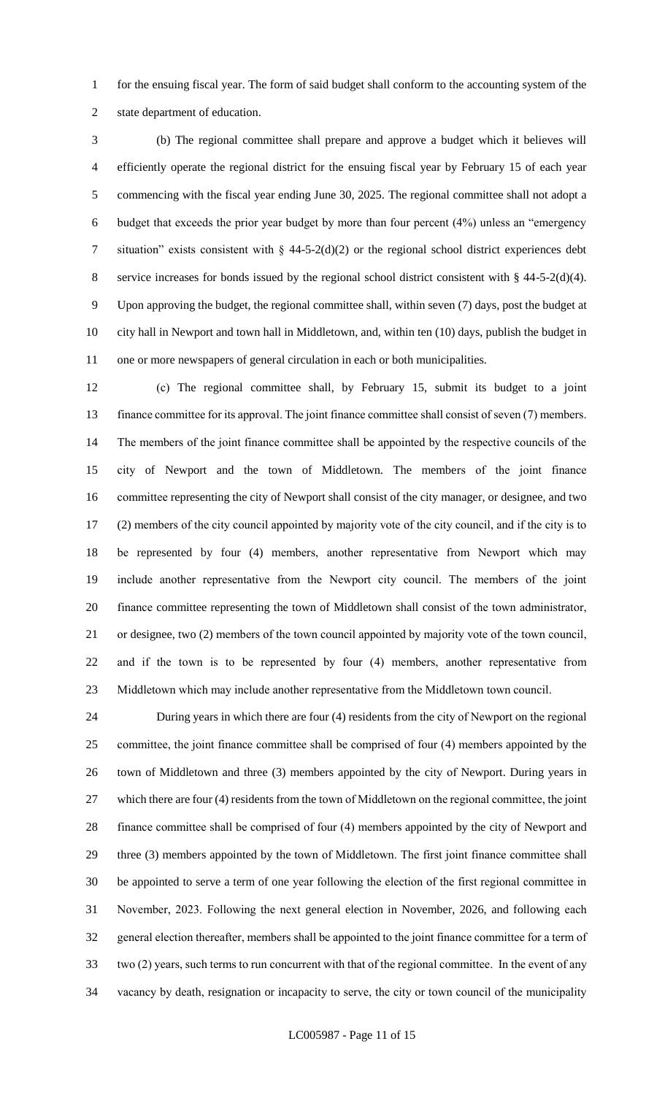for the ensuing fiscal year. The form of said budget shall conform to the accounting system of the state department of education.

 (b) The regional committee shall prepare and approve a budget which it believes will efficiently operate the regional district for the ensuing fiscal year by February 15 of each year commencing with the fiscal year ending June 30, 2025. The regional committee shall not adopt a budget that exceeds the prior year budget by more than four percent (4%) unless an "emergency 7 situation" exists consistent with  $\S$  44-5-2(d)(2) or the regional school district experiences debt service increases for bonds issued by the regional school district consistent with § 44-5-2(d)(4). Upon approving the budget, the regional committee shall, within seven (7) days, post the budget at city hall in Newport and town hall in Middletown, and, within ten (10) days, publish the budget in one or more newspapers of general circulation in each or both municipalities.

 (c) The regional committee shall, by February 15, submit its budget to a joint finance committee for its approval. The joint finance committee shall consist of seven (7) members. The members of the joint finance committee shall be appointed by the respective councils of the city of Newport and the town of Middletown. The members of the joint finance committee representing the city of Newport shall consist of the city manager, or designee, and two (2) members of the city council appointed by majority vote of the city council, and if the city is to be represented by four (4) members, another representative from Newport which may include another representative from the Newport city council. The members of the joint finance committee representing the town of Middletown shall consist of the town administrator, or designee, two (2) members of the town council appointed by majority vote of the town council, and if the town is to be represented by four (4) members, another representative from Middletown which may include another representative from the Middletown town council.

 During years in which there are four (4) residents from the city of Newport on the regional committee, the joint finance committee shall be comprised of four (4) members appointed by the town of Middletown and three (3) members appointed by the city of Newport. During years in which there are four (4) residents from the town of Middletown on the regional committee, the joint finance committee shall be comprised of four (4) members appointed by the city of Newport and three (3) members appointed by the town of Middletown. The first joint finance committee shall be appointed to serve a term of one year following the election of the first regional committee in November, 2023. Following the next general election in November, 2026, and following each general election thereafter, members shall be appointed to the joint finance committee for a term of two (2) years, such terms to run concurrent with that of the regional committee. In the event of any vacancy by death, resignation or incapacity to serve, the city or town council of the municipality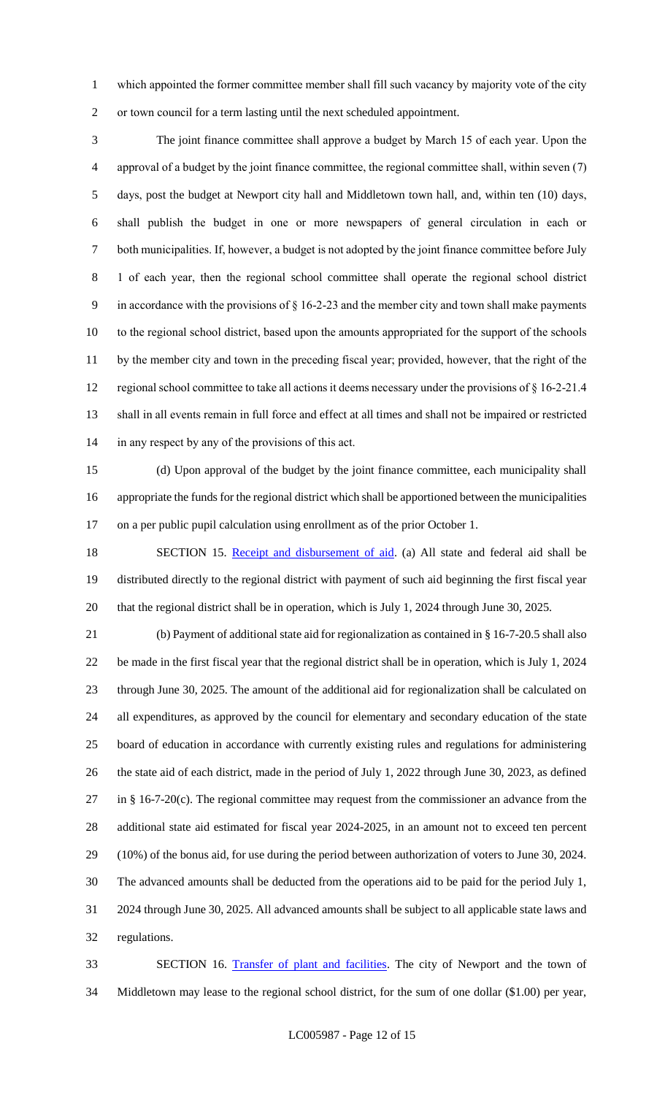which appointed the former committee member shall fill such vacancy by majority vote of the city or town council for a term lasting until the next scheduled appointment.

 The joint finance committee shall approve a budget by March 15 of each year. Upon the approval of a budget by the joint finance committee, the regional committee shall, within seven (7) days, post the budget at Newport city hall and Middletown town hall, and, within ten (10) days, shall publish the budget in one or more newspapers of general circulation in each or both municipalities. If, however, a budget is not adopted by the joint finance committee before July 1 of each year, then the regional school committee shall operate the regional school district in accordance with the provisions of § 16-2-23 and the member city and town shall make payments to the regional school district, based upon the amounts appropriated for the support of the schools by the member city and town in the preceding fiscal year; provided, however, that the right of the regional school committee to take all actions it deems necessary under the provisions of § 16-2-21.4 shall in all events remain in full force and effect at all times and shall not be impaired or restricted in any respect by any of the provisions of this act.

 (d) Upon approval of the budget by the joint finance committee, each municipality shall appropriate the funds for the regional district which shall be apportioned between the municipalities on a per public pupil calculation using enrollment as of the prior October 1.

18 SECTION 15. Receipt and disbursement of aid. (a) All state and federal aid shall be distributed directly to the regional district with payment of such aid beginning the first fiscal year that the regional district shall be in operation, which is July 1, 2024 through June 30, 2025.

 (b) Payment of additional state aid for regionalization as contained in § 16-7-20.5 shall also be made in the first fiscal year that the regional district shall be in operation, which is July 1, 2024 through June 30, 2025. The amount of the additional aid for regionalization shall be calculated on all expenditures, as approved by the council for elementary and secondary education of the state board of education in accordance with currently existing rules and regulations for administering the state aid of each district, made in the period of July 1, 2022 through June 30, 2023, as defined in § 16-7-20(c). The regional committee may request from the commissioner an advance from the additional state aid estimated for fiscal year 2024-2025, in an amount not to exceed ten percent (10%) of the bonus aid, for use during the period between authorization of voters to June 30, 2024. The advanced amounts shall be deducted from the operations aid to be paid for the period July 1, 2024 through June 30, 2025. All advanced amounts shall be subject to all applicable state laws and regulations.

 SECTION 16. Transfer of plant and facilities. The city of Newport and the town of Middletown may lease to the regional school district, for the sum of one dollar (\$1.00) per year,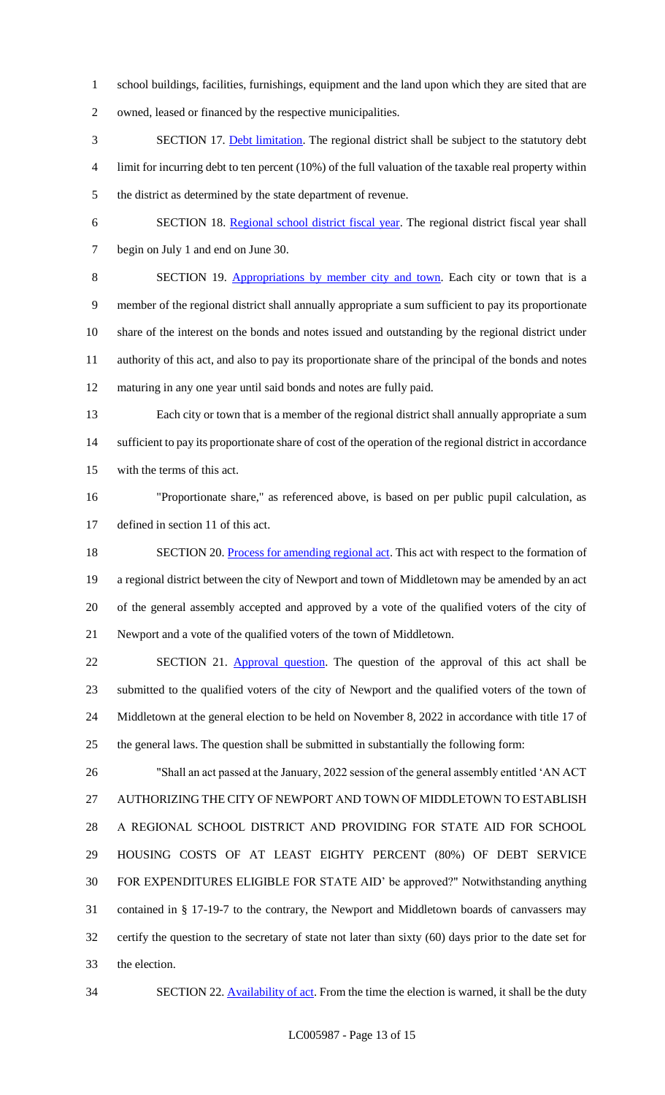school buildings, facilities, furnishings, equipment and the land upon which they are sited that are

owned, leased or financed by the respective municipalities.

- SECTION 17. Debt limitation. The regional district shall be subject to the statutory debt limit for incurring debt to ten percent (10%) of the full valuation of the taxable real property within the district as determined by the state department of revenue.
- SECTION 18. Regional school district fiscal year. The regional district fiscal year shall begin on July 1 and end on June 30.

 SECTION 19. Appropriations by member city and town. Each city or town that is a member of the regional district shall annually appropriate a sum sufficient to pay its proportionate share of the interest on the bonds and notes issued and outstanding by the regional district under authority of this act, and also to pay its proportionate share of the principal of the bonds and notes maturing in any one year until said bonds and notes are fully paid.

- Each city or town that is a member of the regional district shall annually appropriate a sum sufficient to pay its proportionate share of cost of the operation of the regional district in accordance with the terms of this act.
- "Proportionate share," as referenced above, is based on per public pupil calculation, as defined in section 11 of this act.
- 18 SECTION 20. Process for amending regional act. This act with respect to the formation of a regional district between the city of Newport and town of Middletown may be amended by an act of the general assembly accepted and approved by a vote of the qualified voters of the city of Newport and a vote of the qualified voters of the town of Middletown.

22 SECTION 21. Approval question. The question of the approval of this act shall be submitted to the qualified voters of the city of Newport and the qualified voters of the town of Middletown at the general election to be held on November 8, 2022 in accordance with title 17 of the general laws. The question shall be submitted in substantially the following form:

 "Shall an act passed at the January, 2022 session of the general assembly entitled 'AN ACT AUTHORIZING THE CITY OF NEWPORT AND TOWN OF MIDDLETOWN TO ESTABLISH A REGIONAL SCHOOL DISTRICT AND PROVIDING FOR STATE AID FOR SCHOOL HOUSING COSTS OF AT LEAST EIGHTY PERCENT (80%) OF DEBT SERVICE FOR EXPENDITURES ELIGIBLE FOR STATE AID' be approved?" Notwithstanding anything contained in § 17-19-7 to the contrary, the Newport and Middletown boards of canvassers may certify the question to the secretary of state not later than sixty (60) days prior to the date set for the election.

34 SECTION 22. Availability of act. From the time the election is warned, it shall be the duty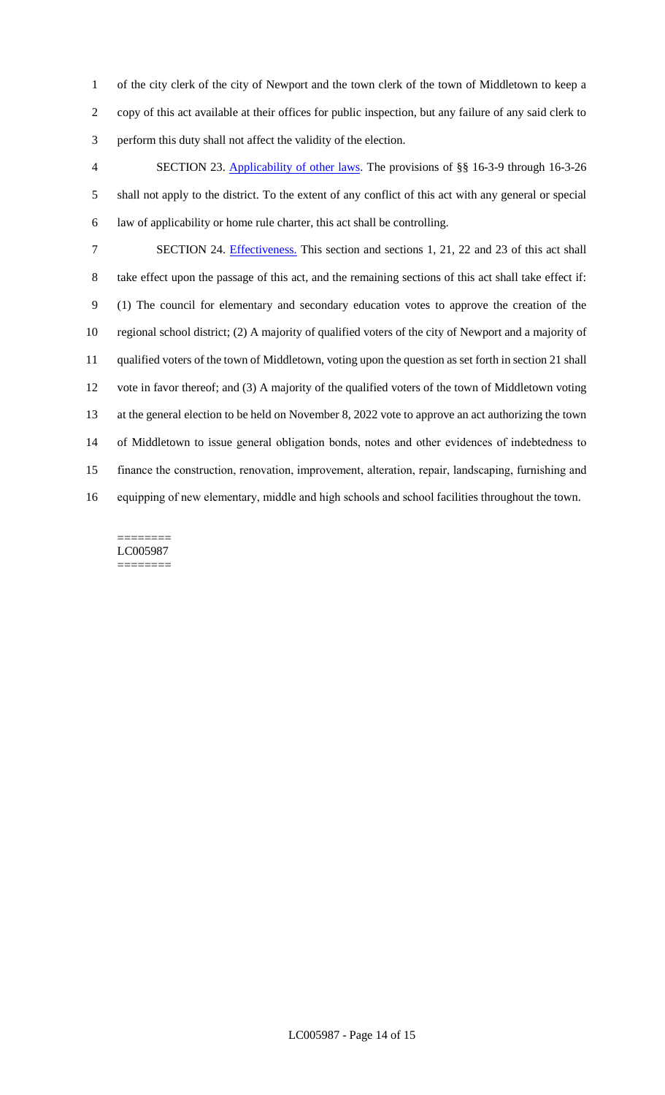of the city clerk of the city of Newport and the town clerk of the town of Middletown to keep a copy of this act available at their offices for public inspection, but any failure of any said clerk to perform this duty shall not affect the validity of the election.

 SECTION 23. Applicability of other laws. The provisions of §§ 16-3-9 through 16-3-26 shall not apply to the district. To the extent of any conflict of this act with any general or special law of applicability or home rule charter, this act shall be controlling.

 SECTION 24. Effectiveness. This section and sections 1, 21, 22 and 23 of this act shall take effect upon the passage of this act, and the remaining sections of this act shall take effect if: (1) The council for elementary and secondary education votes to approve the creation of the regional school district; (2) A majority of qualified voters of the city of Newport and a majority of qualified voters of the town of Middletown, voting upon the question as set forth in section 21 shall vote in favor thereof; and (3) A majority of the qualified voters of the town of Middletown voting at the general election to be held on November 8, 2022 vote to approve an act authorizing the town of Middletown to issue general obligation bonds, notes and other evidences of indebtedness to finance the construction, renovation, improvement, alteration, repair, landscaping, furnishing and equipping of new elementary, middle and high schools and school facilities throughout the town.

#### ======== LC005987 ========

LC005987 - Page 14 of 15